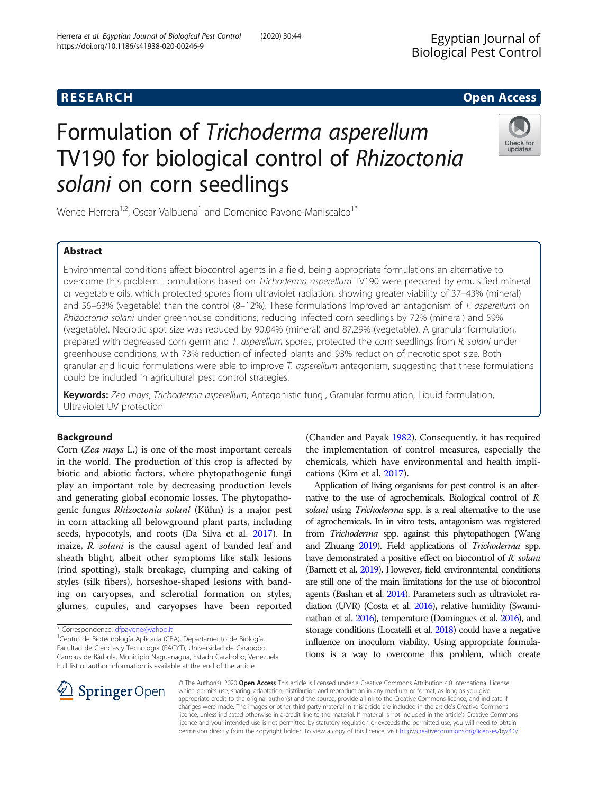# Formulation of Trichoderma asperellum TV190 for biological control of Rhizoctonia solani on corn seedlings

Wence Herrera<sup>1,2</sup>, Oscar Valbuena<sup>1</sup> and Domenico Pavone-Maniscalco<sup>1\*</sup>

# Abstract

Environmental conditions affect biocontrol agents in a field, being appropriate formulations an alternative to overcome this problem. Formulations based on Trichoderma asperellum TV190 were prepared by emulsified mineral or vegetable oils, which protected spores from ultraviolet radiation, showing greater viability of 37–43% (mineral) and 56–63% (vegetable) than the control (8–12%). These formulations improved an antagonism of T. asperellum on Rhizoctonia solani under greenhouse conditions, reducing infected corn seedlings by 72% (mineral) and 59% (vegetable). Necrotic spot size was reduced by 90.04% (mineral) and 87.29% (vegetable). A granular formulation, prepared with degreased corn germ and T. asperellum spores, protected the corn seedlings from R. solani under greenhouse conditions, with 73% reduction of infected plants and 93% reduction of necrotic spot size. Both granular and liquid formulations were able to improve T. asperellum antagonism, suggesting that these formulations could be included in agricultural pest control strategies.

Keywords: Zea mays, Trichoderma asperellum, Antagonistic fungi, Granular formulation, Liquid formulation, Ultraviolet UV protection

# Background

Corn (Zea mays L.) is one of the most important cereals in the world. The production of this crop is affected by biotic and abiotic factors, where phytopathogenic fungi play an important role by decreasing production levels and generating global economic losses. The phytopathogenic fungus Rhizoctonia solani (Kühn) is a major pest in corn attacking all belowground plant parts, including seeds, hypocotyls, and roots (Da Silva et al. [2017\)](#page-6-0). In maize, R. solani is the causal agent of banded leaf and sheath blight, albeit other symptoms like stalk lesions (rind spotting), stalk breakage, clumping and caking of styles (silk fibers), horseshoe-shaped lesions with banding on caryopses, and sclerotial formation on styles, glumes, cupules, and caryopses have been reported

\* Correspondence: [dfpavone@yahoo.it](mailto:dfpavone@yahoo.it) <sup>1</sup>

 $\mathscr{L}$  Springer Open

<sup>1</sup> Centro de Biotecnología Aplicada (CBA), Departamento de Biología, Facultad de Ciencias y Tecnología (FACYT), Universidad de Carabobo, Campus de Bárbula, Municipio Naguanagua, Estado Carabobo, Venezuela Full list of author information is available at the end of the article

(Chander and Payak [1982](#page-6-0)). Consequently, it has required the implementation of control measures, especially the chemicals, which have environmental and health implications (Kim et al. [2017](#page-7-0)).

Application of living organisms for pest control is an alternative to the use of agrochemicals. Biological control of R. solani using *Trichoderma* spp. is a real alternative to the use of agrochemicals. In in vitro tests, antagonism was registered from Trichoderma spp. against this phytopathogen (Wang and Zhuang [2019\)](#page-7-0). Field applications of Trichoderma spp. have demonstrated a positive effect on biocontrol of R. solani (Barnett et al. [2019](#page-6-0)). However, field environmental conditions are still one of the main limitations for the use of biocontrol agents (Bashan et al. [2014\)](#page-6-0). Parameters such as ultraviolet radiation (UVR) (Costa et al. [2016\)](#page-6-0), relative humidity (Swaminathan et al. [2016](#page-7-0)), temperature (Domingues et al. [2016\)](#page-6-0), and storage conditions (Locatelli et al. [2018\)](#page-7-0) could have a negative influence on inoculum viability. Using appropriate formulations is a way to overcome this problem, which create

© The Author(s). 2020 Open Access This article is licensed under a Creative Commons Attribution 4.0 International License, which permits use, sharing, adaptation, distribution and reproduction in any medium or format, as long as you give appropriate credit to the original author(s) and the source, provide a link to the Creative Commons licence, and indicate if changes were made. The images or other third party material in this article are included in the article's Creative Commons licence, unless indicated otherwise in a credit line to the material. If material is not included in the article's Creative Commons licence and your intended use is not permitted by statutory regulation or exceeds the permitted use, you will need to obtain permission directly from the copyright holder. To view a copy of this licence, visit <http://creativecommons.org/licenses/by/4.0/>.



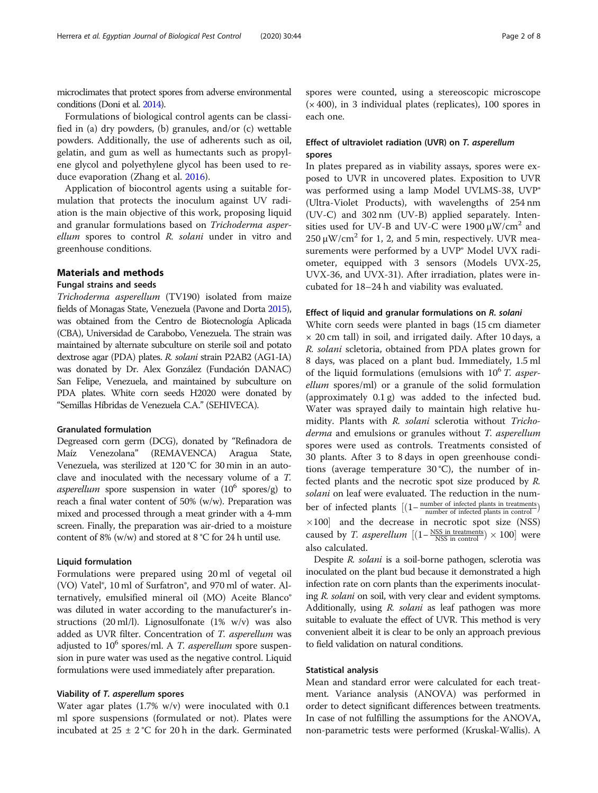microclimates that protect spores from adverse environmental conditions (Doni et al. [2014](#page-7-0)).

Formulations of biological control agents can be classified in (a) dry powders, (b) granules, and/or (c) wettable powders. Additionally, the use of adherents such as oil, gelatin, and gum as well as humectants such as propylene glycol and polyethylene glycol has been used to reduce evaporation (Zhang et al. [2016](#page-7-0)).

Application of biocontrol agents using a suitable formulation that protects the inoculum against UV radiation is the main objective of this work, proposing liquid and granular formulations based on Trichoderma asperellum spores to control R. solani under in vitro and greenhouse conditions.

# Materials and methods

# Fungal strains and seeds

Trichoderma asperellum (TV190) isolated from maize fields of Monagas State, Venezuela (Pavone and Dorta [2015\)](#page-7-0), was obtained from the Centro de Biotecnología Aplicada (CBA), Universidad de Carabobo, Venezuela. The strain was maintained by alternate subculture on sterile soil and potato dextrose agar (PDA) plates. R. solani strain P2AB2 (AG1-IA) was donated by Dr. Alex González (Fundación DANAC) San Felipe, Venezuela, and maintained by subculture on PDA plates. White corn seeds H2020 were donated by "Semillas Híbridas de Venezuela C.A." (SEHIVECA).

## Granulated formulation

Degreased corn germ (DCG), donated by "Refinadora de Maíz Venezolana" (REMAVENCA) Aragua State, Venezuela, was sterilized at 120 °C for 30 min in an autoclave and inoculated with the necessary volume of a T. asperellum spore suspension in water  $(10^6 \text{ spores/g})$  to reach a final water content of 50% (w/w). Preparation was mixed and processed through a meat grinder with a 4-mm screen. Finally, the preparation was air-dried to a moisture content of 8% (w/w) and stored at 8 °C for 24 h until use.

## Liquid formulation

Formulations were prepared using 20 ml of vegetal oil (VO) Vatel®, 10 ml of Surfatron®, and 970 ml of water. Alternatively, emulsified mineral oil (MO) Aceite Blanco® was diluted in water according to the manufacturer's instructions (20 ml/l). Lignosulfonate (1% w/v) was also added as UVR filter. Concentration of T. asperellum was adjusted to  $10^6$  spores/ml. A *T. asperellum* spore suspension in pure water was used as the negative control. Liquid formulations were used immediately after preparation.

# Viability of T. asperellum spores

Water agar plates (1.7% w/v) were inoculated with 0.1 ml spore suspensions (formulated or not). Plates were incubated at  $25 \pm 2$  °C for 20 h in the dark. Germinated spores were counted, using a stereoscopic microscope  $(x 400)$ , in 3 individual plates (replicates), 100 spores in each one.

# Effect of ultraviolet radiation (UVR) on T. asperellum spores

In plates prepared as in viability assays, spores were exposed to UVR in uncovered plates. Exposition to UVR was performed using a lamp Model UVLMS-38, UVP® (Ultra-Violet Products), with wavelengths of 254 nm (UV-C) and 302 nm (UV-B) applied separately. Intensities used for UV-B and UV-C were  $1900 \mu W/cm^2$  and  $250 \mu W/cm^2$  for 1, 2, and 5 min, respectively. UVR measurements were performed by a UVP® Model UVX radiometer, equipped with 3 sensors (Models UVX-25, UVX-36, and UVX-31). After irradiation, plates were incubated for 18–24 h and viability was evaluated.

# Effect of liquid and granular formulations on R. solani

White corn seeds were planted in bags (15 cm diameter  $\times$  20 cm tall) in soil, and irrigated daily. After 10 days, a R. solani scletoria, obtained from PDA plates grown for 8 days, was placed on a plant bud. Immediately, 1.5 ml of the liquid formulations (emulsions with  $10<sup>6</sup>$  T. asperellum spores/ml) or a granule of the solid formulation (approximately 0.1 g) was added to the infected bud. Water was sprayed daily to maintain high relative humidity. Plants with R. solani sclerotia without Trichoderma and emulsions or granules without T. asperellum spores were used as controls. Treatments consisted of 30 plants. After 3 to 8 days in open greenhouse conditions (average temperature  $30^{\circ}$ C), the number of infected plants and the necrotic spot size produced by R. solani on leaf were evaluated. The reduction in the number of infected plants  $[(1 - \frac{\text{number of infected plants in treatments}}{\text{number of infected plants in control}})]$  $\times$ 100] and the decrease in necrotic spot size (NSS) caused by *T. asperellum*  $[(1 - \frac{NSS \text{ in treatments}}{NSS \text{ in control}}) \times 100]$  were also calculated.

Despite R. solani is a soil-borne pathogen, sclerotia was inoculated on the plant bud because it demonstrated a high infection rate on corn plants than the experiments inoculating R. solani on soil, with very clear and evident symptoms. Additionally, using R. solani as leaf pathogen was more suitable to evaluate the effect of UVR. This method is very convenient albeit it is clear to be only an approach previous to field validation on natural conditions.

# Statistical analysis

Mean and standard error were calculated for each treatment. Variance analysis (ANOVA) was performed in order to detect significant differences between treatments. In case of not fulfilling the assumptions for the ANOVA, non-parametric tests were performed (Kruskal-Wallis). A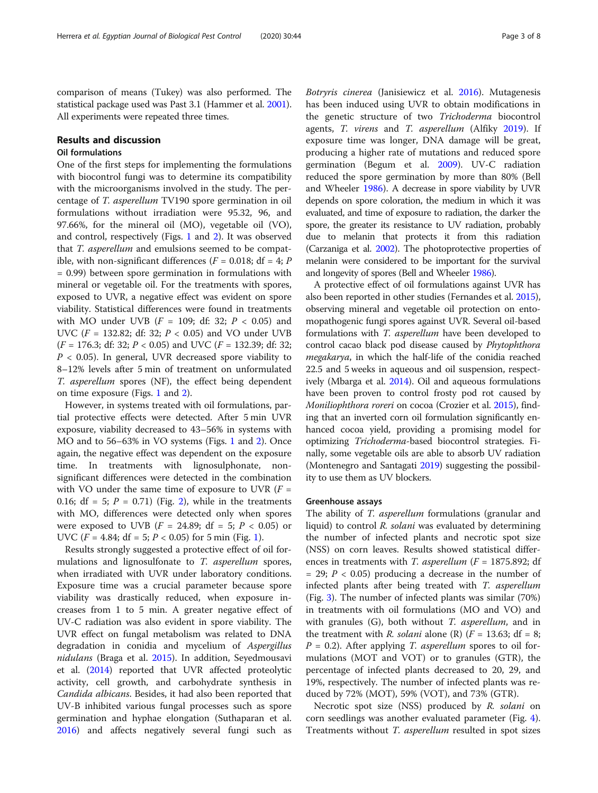comparison of means (Tukey) was also performed. The statistical package used was Past 3.1 (Hammer et al. [2001](#page-7-0)). All experiments were repeated three times.

# Results and discussion

# Oil formulations

One of the first steps for implementing the formulations with biocontrol fungi was to determine its compatibility with the microorganisms involved in the study. The percentage of T. asperellum TV190 spore germination in oil formulations without irradiation were 95.32, 96, and 97.66%, for the mineral oil (MO), vegetable oil (VO), and control, respectively (Figs. [1](#page-3-0) and [2](#page-4-0)). It was observed that *T. asperellum* and emulsions seemed to be compatible, with non-significant differences ( $F = 0.018$ ; df = 4; P = 0.99) between spore germination in formulations with mineral or vegetable oil. For the treatments with spores, exposed to UVR, a negative effect was evident on spore viability. Statistical differences were found in treatments with MO under UVB  $(F = 109; df: 32; P < 0.05)$  and UVC ( $F = 132.82$ ; df: 32;  $P < 0.05$ ) and VO under UVB  $(F = 176.3; \text{ df: } 32; P < 0.05)$  and UVC  $(F = 132.39; \text{ df: } 32;$  $P < 0.05$ ). In general, UVR decreased spore viability to 8–12% levels after 5 min of treatment on unformulated T. asperellum spores (NF), the effect being dependent on time exposure (Figs. [1](#page-3-0) and [2](#page-4-0)).

However, in systems treated with oil formulations, partial protective effects were detected. After 5 min UVR exposure, viability decreased to 43–56% in systems with MO and to 56–63% in VO systems (Figs. [1](#page-3-0) and [2](#page-4-0)). Once again, the negative effect was dependent on the exposure time. In treatments with lignosulphonate, nonsignificant differences were detected in the combination with VO under the same time of exposure to UVR  $(F =$ 0.16; df = 5;  $P = 0.71$ ) (Fig. [2\)](#page-4-0), while in the treatments with MO, differences were detected only when spores were exposed to UVB  $(F = 24.89; df = 5; P < 0.05)$  or UVC ( $F = 4.84$ ; df = 5;  $P < 0.05$ ) for 5 min (Fig. [1\)](#page-3-0).

Results strongly suggested a protective effect of oil formulations and lignosulfonate to T. asperellum spores, when irradiated with UVR under laboratory conditions. Exposure time was a crucial parameter because spore viability was drastically reduced, when exposure increases from 1 to 5 min. A greater negative effect of UV-C radiation was also evident in spore viability. The UVR effect on fungal metabolism was related to DNA degradation in conidia and mycelium of Aspergillus nidulans (Braga et al. [2015](#page-6-0)). In addition, Seyedmousavi et al. [\(2014\)](#page-7-0) reported that UVR affected proteolytic activity, cell growth, and carbohydrate synthesis in Candida albicans. Besides, it had also been reported that UV-B inhibited various fungal processes such as spore germination and hyphae elongation (Suthaparan et al. [2016](#page-7-0)) and affects negatively several fungi such as Botryris cinerea (Janisiewicz et al. [2016\)](#page-7-0). Mutagenesis has been induced using UVR to obtain modifications in the genetic structure of two Trichoderma biocontrol agents, *T. virens* and *T. asperellum* (Alfiky [2019](#page-6-0)). If exposure time was longer, DNA damage will be great, producing a higher rate of mutations and reduced spore germination (Begum et al. [2009\)](#page-6-0). UV-C radiation reduced the spore germination by more than 80% (Bell and Wheeler [1986](#page-6-0)). A decrease in spore viability by UVR depends on spore coloration, the medium in which it was evaluated, and time of exposure to radiation, the darker the spore, the greater its resistance to UV radiation, probably due to melanin that protects it from this radiation (Carzaniga et al. [2002](#page-6-0)). The photoprotective properties of melanin were considered to be important for the survival and longevity of spores (Bell and Wheeler [1986](#page-6-0)).

A protective effect of oil formulations against UVR has also been reported in other studies (Fernandes et al. [2015](#page-7-0)), observing mineral and vegetable oil protection on entomopathogenic fungi spores against UVR. Several oil-based formulations with T. asperellum have been developed to control cacao black pod disease caused by Phytophthora megakarya, in which the half-life of the conidia reached 22.5 and 5 weeks in aqueous and oil suspension, respectively (Mbarga et al. [2014](#page-7-0)). Oil and aqueous formulations have been proven to control frosty pod rot caused by Moniliophthora roreri on cocoa (Crozier et al. [2015](#page-6-0)), finding that an inverted corn oil formulation significantly enhanced cocoa yield, providing a promising model for optimizing Trichoderma-based biocontrol strategies. Finally, some vegetable oils are able to absorb UV radiation (Montenegro and Santagati [2019\)](#page-7-0) suggesting the possibility to use them as UV blockers.

# Greenhouse assays

The ability of T. asperellum formulations (granular and liquid) to control R. solani was evaluated by determining the number of infected plants and necrotic spot size (NSS) on corn leaves. Results showed statistical differences in treatments with T. asperellum ( $F = 1875.892$ ; df  $= 29$ ;  $P < 0.05$ ) producing a decrease in the number of infected plants after being treated with T. asperellum (Fig. [3](#page-5-0)). The number of infected plants was similar (70%) in treatments with oil formulations (MO and VO) and with granules  $(G)$ , both without T. asperellum, and in the treatment with *R. solani* alone (R)  $(F = 13.63; df = 8;$  $P = 0.2$ ). After applying T. asperellum spores to oil formulations (MOT and VOT) or to granules (GTR), the percentage of infected plants decreased to 20, 29, and 19%, respectively. The number of infected plants was reduced by 72% (MOT), 59% (VOT), and 73% (GTR).

Necrotic spot size (NSS) produced by R. solani on corn seedlings was another evaluated parameter (Fig. [4](#page-5-0)). Treatments without T. asperellum resulted in spot sizes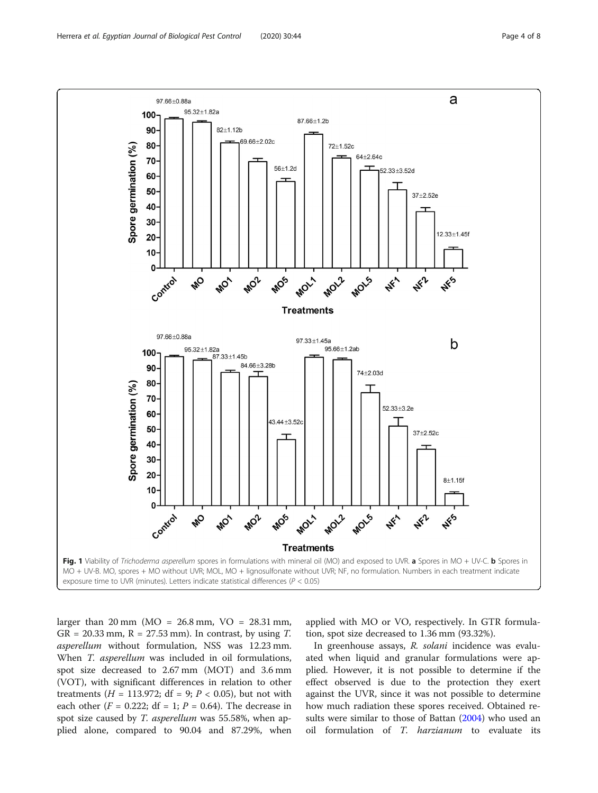<span id="page-3-0"></span>

larger than 20 mm (MO = 26.8 mm, VO = 28.31 mm,  $GR = 20.33$  mm,  $R = 27.53$  mm). In contrast, by using T. asperellum without formulation, NSS was 12.23 mm. When T. asperellum was included in oil formulations, spot size decreased to 2.67 mm (MOT) and 3.6 mm (VOT), with significant differences in relation to other treatments (*H* = 113.972; df = 9; *P* < 0.05), but not with each other ( $F = 0.222$ ; df = 1;  $P = 0.64$ ). The decrease in spot size caused by *T. asperellum* was 55.58%, when applied alone, compared to 90.04 and 87.29%, when applied with MO or VO, respectively. In GTR formulation, spot size decreased to 1.36 mm (93.32%).

In greenhouse assays, R. solani incidence was evaluated when liquid and granular formulations were applied. However, it is not possible to determine if the effect observed is due to the protection they exert against the UVR, since it was not possible to determine how much radiation these spores received. Obtained results were similar to those of Battan [\(2004](#page-6-0)) who used an oil formulation of T. harzianum to evaluate its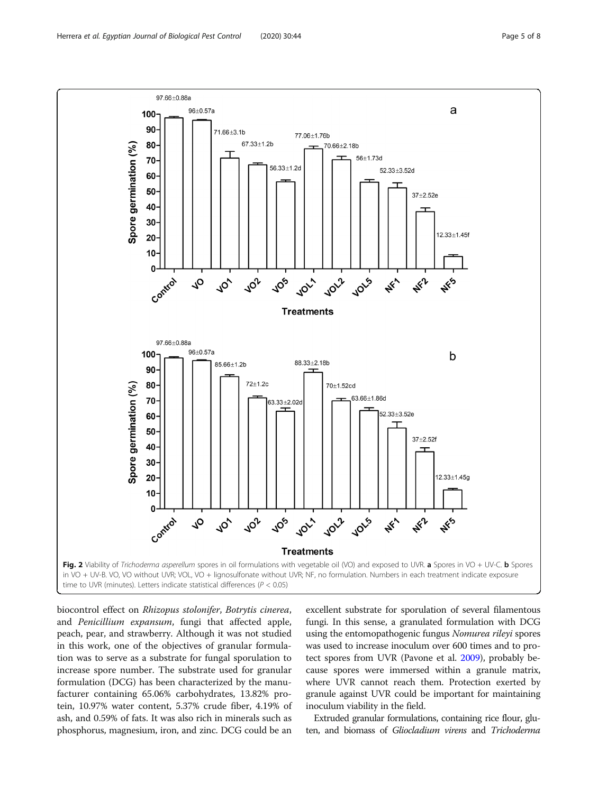<span id="page-4-0"></span>

biocontrol effect on Rhizopus stolonifer, Botrytis cinerea, and Penicillium expansum, fungi that affected apple, peach, pear, and strawberry. Although it was not studied in this work, one of the objectives of granular formulation was to serve as a substrate for fungal sporulation to increase spore number. The substrate used for granular formulation (DCG) has been characterized by the manufacturer containing 65.06% carbohydrates, 13.82% protein, 10.97% water content, 5.37% crude fiber, 4.19% of ash, and 0.59% of fats. It was also rich in minerals such as phosphorus, magnesium, iron, and zinc. DCG could be an

excellent substrate for sporulation of several filamentous fungi. In this sense, a granulated formulation with DCG using the entomopathogenic fungus Nomurea rileyi spores was used to increase inoculum over 600 times and to protect spores from UVR (Pavone et al. [2009](#page-7-0)), probably because spores were immersed within a granule matrix, where UVR cannot reach them. Protection exerted by granule against UVR could be important for maintaining inoculum viability in the field.

Extruded granular formulations, containing rice flour, gluten, and biomass of Gliocladium virens and Trichoderma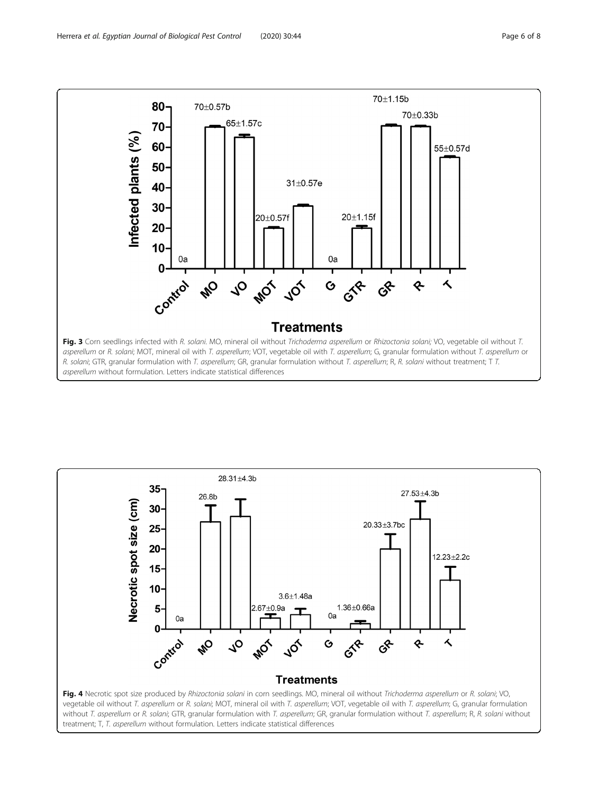<span id="page-5-0"></span>

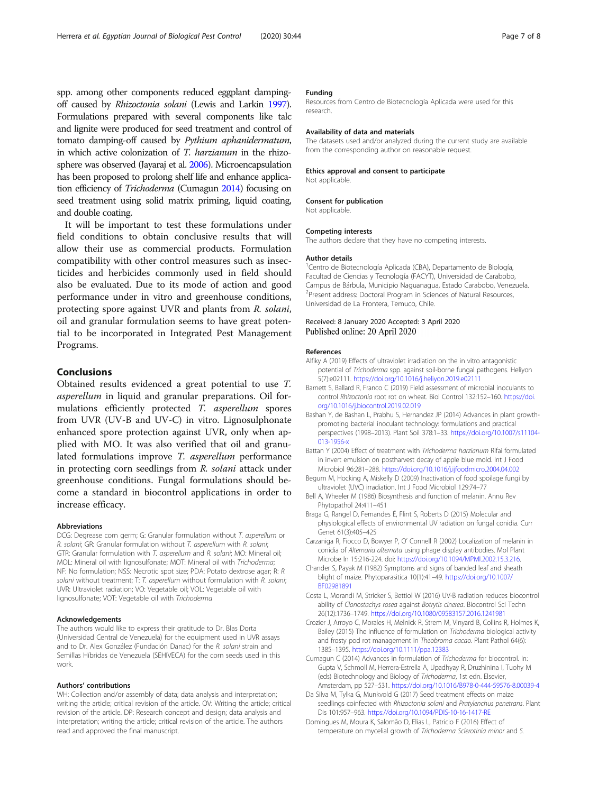<span id="page-6-0"></span>spp. among other components reduced eggplant dampingoff caused by Rhizoctonia solani (Lewis and Larkin [1997\)](#page-7-0). Formulations prepared with several components like talc and lignite were produced for seed treatment and control of tomato damping-off caused by Pythium aphanidermatum, in which active colonization of T. harzianum in the rhizosphere was observed (Jayaraj et al. [2006](#page-7-0)). Microencapsulation has been proposed to prolong shelf life and enhance application efficiency of Trichoderma (Cumagun 2014) focusing on seed treatment using solid matrix priming, liquid coating, and double coating.

It will be important to test these formulations under field conditions to obtain conclusive results that will allow their use as commercial products. Formulation compatibility with other control measures such as insecticides and herbicides commonly used in field should also be evaluated. Due to its mode of action and good performance under in vitro and greenhouse conditions, protecting spore against UVR and plants from R. solani, oil and granular formulation seems to have great potential to be incorporated in Integrated Pest Management Programs.

# Conclusions

Obtained results evidenced a great potential to use T. asperellum in liquid and granular preparations. Oil formulations efficiently protected T. asperellum spores from UVR (UV-B and UV-C) in vitro. Lignosulphonate enhanced spore protection against UVR, only when applied with MO. It was also verified that oil and granulated formulations improve T. asperellum performance in protecting corn seedlings from R. solani attack under greenhouse conditions. Fungal formulations should become a standard in biocontrol applications in order to increase efficacy.

#### Abbreviations

DCG: Degrease corn germ; G: Granular formulation without T. asperellum or R. solani; GR: Granular formulation without T. asperellum with R. solani; GTR: Granular formulation with T. asperellum and R. solani; MO: Mineral oil; MOL: Mineral oil with lignosulfonate; MOT: Mineral oil with Trichoderma; NF: No formulation; NSS: Necrotic spot size; PDA: Potato dextrose agar; R: R. solani without treatment; T: T. asperellum without formulation with R. solani; UVR: Ultraviolet radiation; VO: Vegetable oil; VOL: Vegetable oil with lignosulfonate; VOT: Vegetable oil with Trichoderma

#### Acknowledgements

The authors would like to express their gratitude to Dr. Blas Dorta (Universidad Central de Venezuela) for the equipment used in UVR assays and to Dr. Alex González (Fundación Danac) for the R. solani strain and Semillas Híbridas de Venezuela (SEHIVECA) for the corn seeds used in this work.

#### Authors' contributions

WH: Collection and/or assembly of data; data analysis and interpretation; writing the article; critical revision of the article. OV: Writing the article; critical revision of the article. DP: Research concept and design; data analysis and interpretation; writing the article; critical revision of the article. The authors read and approved the final manuscript.

#### Funding

Resources from Centro de Biotecnología Aplicada were used for this research.

#### Availability of data and materials

The datasets used and/or analyzed during the current study are available from the corresponding author on reasonable request.

#### Ethics approval and consent to participate

Not applicable.

# Consent for publication

Not applicable.

Competing interests

Author details 1 Centro de Biotecnología Aplicada (CBA), Departamento de Biología, Facultad de Ciencias y Tecnología (FACYT), Universidad de Carabobo, Campus de Bárbula, Municipio Naguanagua, Estado Carabobo, Venezuela. 2 Present address: Doctoral Program in Sciences of Natural Resources, Universidad de La Frontera, Temuco, Chile.

# Received: 8 January 2020 Accepted: 3 April 2020 Published online: 20 April 2020

The authors declare that they have no competing interests.

### References

- Alfiky A (2019) Effects of ultraviolet irradiation on the in vitro antagonistic potential of Trichoderma spp. against soil-borne fungal pathogens. Heliyon 5(7):e02111. <https://doi.org/10.1016/j.heliyon.2019.e02111>
- Barnett S, Ballard R, Franco C (2019) Field assessment of microbial inoculants to control Rhizoctonia root rot on wheat. Biol Control 132:152–160. [https://doi.](https://doi.org/10.1016/j.biocontrol.2019.02.019) [org/10.1016/j.biocontrol.2019.02.019](https://doi.org/10.1016/j.biocontrol.2019.02.019)
- Bashan Y, de Bashan L, Prabhu S, Hernandez JP (2014) Advances in plant growthpromoting bacterial inoculant technology: formulations and practical perspectives (1998–2013). Plant Soil 378:1–33. [https://doi.org/10.1007/s11104-](https://doi.org/10.1007/s11104-013-1956-x) [013-1956-x](https://doi.org/10.1007/s11104-013-1956-x)
- Battan Y (2004) Effect of treatment with Trichoderma harzianum Rifai formulated in invert emulsion on postharvest decay of apple blue mold. Int J Food Microbiol 96:281–288. <https://doi.org/10.1016/j.ijfoodmicro.2004.04.002>
- Begum M, Hocking A, Miskelly D (2009) Inactivation of food spoilage fungi by ultraviolet (UVC) irradiation. Int J Food Microbiol 129:74–77
- Bell A, Wheeler M (1986) Biosynthesis and function of melanin. Annu Rev Phytopathol 24:411–451
- Braga G, Rangel D, Fernandes É, Flint S, Roberts D (2015) Molecular and physiological effects of environmental UV radiation on fungal conidia. Curr Genet 61(3):405–425
- Carzaniga R, Fiocco D, Bowyer P, O' Connell R (2002) Localization of melanin in conidia of Alternaria alternata using phage display antibodies. Mol Plant Microbe In 15:216-224. doi: [https://doi.org/10.1094/MPMI.2002.15.3.216.](https://doi.org/10.1094/MPMI.2002.15.3.216)
- Chander S, Payak M (1982) Symptoms and signs of banded leaf and sheath blight of maize. Phytoparasitica 10(1):41–49. [https://doi.org/10.1007/](https://doi.org/10.1007/BF02981891) [BF02981891](https://doi.org/10.1007/BF02981891)
- Costa L, Morandi M, Stricker S, Bettiol W (2016) UV-B radiation reduces biocontrol ability of Clonostachys rosea against Botrytis cinerea. Biocontrol Sci Techn 26(12):1736–1749. <https://doi.org/10.1080/09583157.2016.1241981>
- Crozier J, Arroyo C, Morales H, Melnick R, Strem M, Vinyard B, Collins R, Holmes K, Bailey (2015) The influence of formulation on Trichoderma biological activity and frosty pod rot management in Theobroma cacao. Plant Pathol 64(6): 1385–1395. <https://doi.org/10.1111/ppa.12383>
- Cumagun C (2014) Advances in formulation of Trichoderma for biocontrol. In: Gupta V, Schmoll M, Herrera-Estrella A, Upadhyay R, Druzhinina I, Tuohy M (eds) Biotechnology and Biology of Trichoderma, 1st edn. Elsevier, Amsterdam, pp 527–531. <https://doi.org/10.1016/B978-0-444-59576-8.00039-4>
- Da Silva M, Tylka G, Munkvold G (2017) Seed treatment effects on maize seedlings coinfected with Rhizoctonia solani and Pratylenchus penetrans. Plant Dis 101:957–963. <https://doi.org/10.1094/PDIS-10-16-1417-RE>
- Domingues M, Moura K, Salomão D, Elias L, Patricio F (2016) Effect of temperature on mycelial growth of Trichoderma Sclerotinia minor and S.